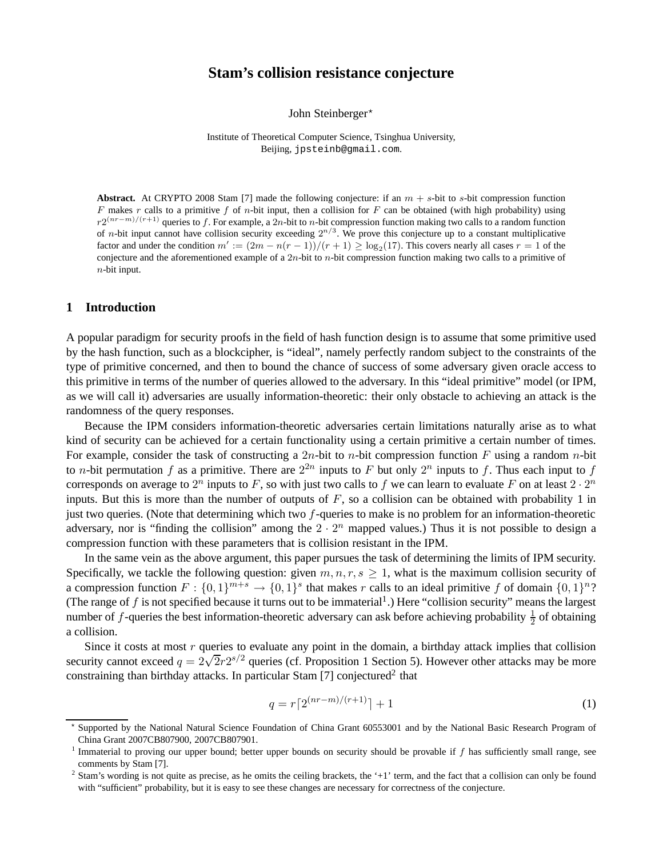# **Stam's collision resistance conjecture**

John Steinberger<sup>\*</sup>

Institute of Theoretical Computer Science, Tsinghua University, Beijing, jpsteinb@gmail.com.

**Abstract.** At CRYPTO 2008 Stam [7] made the following conjecture: if an  $m + s$ -bit to s-bit compression function F makes r calls to a primitive f of n-bit input, then a collision for F can be obtained (with high probability) using  $r2^{(nr-m)/(r+1)}$  queries to f. For example, a  $2n$ -bit to n-bit compression function making two calls to a random function of *n*-bit input cannot have collision security exceeding  $2^{n/3}$ . We prove this conjecture up to a constant multiplicative factor and under the condition  $m' := (2m - n(r - 1))/(r + 1) \ge \log_2(17)$ . This covers nearly all cases  $r = 1$  of the conjecture and the aforementioned example of a  $2n$ -bit to n-bit compression function making two calls to a primitive of  $n$ -bit input.

# **1 Introduction**

A popular paradigm for security proofs in the field of hash function design is to assume that some primitive used by the hash function, such as a blockcipher, is "ideal", namely perfectly random subject to the constraints of the type of primitive concerned, and then to bound the chance of success of some adversary given oracle access to this primitive in terms of the number of queries allowed to the adversary. In this "ideal primitive" model (or IPM, as we will call it) adversaries are usually information-theoretic: their only obstacle to achieving an attack is the randomness of the query responses.

Because the IPM considers information-theoretic adversaries certain limitations naturally arise as to what kind of security can be achieved for a certain functionality using a certain primitive a certain number of times. For example, consider the task of constructing a 2n-bit to n-bit compression function F using a random n-bit to *n*-bit permutation f as a primitive. There are  $2^{2n}$  inputs to F but only  $2^n$  inputs to f. Thus each input to f corresponds on average to  $2^n$  inputs to F, so with just two calls to f we can learn to evaluate F on at least  $2 \cdot 2^n$ inputs. But this is more than the number of outputs of  $F$ , so a collision can be obtained with probability 1 in just two queries. (Note that determining which two  $f$ -queries to make is no problem for an information-theoretic adversary, nor is "finding the collision" among the  $2 \cdot 2^n$  mapped values.) Thus it is not possible to design a compression function with these parameters that is collision resistant in the IPM.

In the same vein as the above argument, this paper pursues the task of determining the limits of IPM security. Specifically, we tackle the following question: given  $m, n, r, s \geq 1$ , what is the maximum collision security of a compression function  $F: \{0,1\}^{m+s} \to \{0,1\}^s$  that makes r calls to an ideal primitive f of domain  $\{0,1\}^n$ ? (The range of f is not specified because it turns out to be immaterial<sup>1</sup>.) Here "collision security" means the largest number of f-queries the best information-theoretic adversary can ask before achieving probability  $\frac{1}{2}$  of obtaining a collision.

Since it costs at most  $r$  queries to evaluate any point in the domain, a birthday attack implies that collision security cannot exceed  $q = 2\sqrt{2r}2^{s/2}$  queries (cf. Proposition 1 Section 5). However other attacks may be more constraining than birthday attacks. In particular Stam [7] conjectured<sup>2</sup> that

$$
q = r\lceil 2^{(nr-m)/(r+1)} \rceil + 1\tag{1}
$$

<sup>⋆</sup> Supported by the National Natural Science Foundation of China Grant 60553001 and by the National Basic Research Program of China Grant 2007CB807900, 2007CB807901.

<sup>&</sup>lt;sup>1</sup> Immaterial to proving our upper bound; better upper bounds on security should be provable if  $f$  has sufficiently small range, see comments by Stam [7].

 $<sup>2</sup>$  Stam's wording is not quite as precise, as he omits the ceiling brackets, the '+1' term, and the fact that a collision can only be found</sup> with "sufficient" probability, but it is easy to see these changes are necessary for correctness of the conjecture.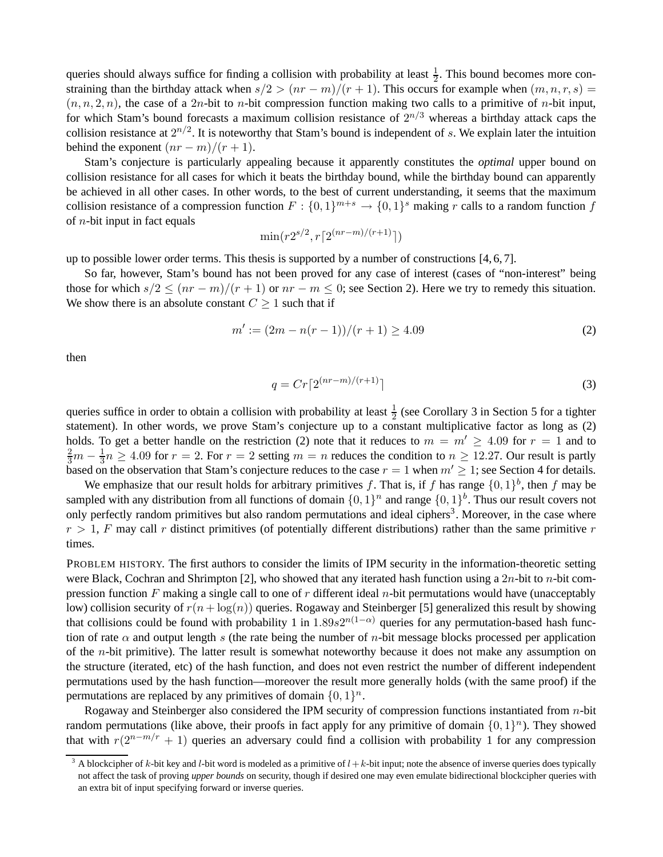queries should always suffice for finding a collision with probability at least  $\frac{1}{2}$ . This bound becomes more constraining than the birthday attack when  $s/2 > (nr - m)/(r + 1)$ . This occurs for example when  $(m, n, r, s) =$  $(n, n, 2, n)$ , the case of a 2n-bit to n-bit compression function making two calls to a primitive of n-bit input, for which Stam's bound forecasts a maximum collision resistance of  $2^{n/3}$  whereas a birthday attack caps the collision resistance at  $2^{n/2}$ . It is noteworthy that Stam's bound is independent of s. We explain later the intuition behind the exponent  $(nr - m)/(r + 1)$ .

Stam's conjecture is particularly appealing because it apparently constitutes the *optimal* upper bound on collision resistance for all cases for which it beats the birthday bound, while the birthday bound can apparently be achieved in all other cases. In other words, to the best of current understanding, it seems that the maximum collision resistance of a compression function  $F: \{0,1\}^{m+s} \to \{0,1\}^s$  making r calls to a random function f of  $n$ -bit input in fact equals

$$
\min(r2^{s/2}, r\lceil 2^{(nr-m)/(r+1)}\rceil)
$$

up to possible lower order terms. This thesis is supported by a number of constructions  $[4, 6, 7]$ .

So far, however, Stam's bound has not been proved for any case of interest (cases of "non-interest" being those for which  $s/2 \leq (nr-m)/(r+1)$  or  $nr-m \leq 0$ ; see Section 2). Here we try to remedy this situation. We show there is an absolute constant  $C \geq 1$  such that if

$$
m' := (2m - n(r - 1))/(r + 1) \ge 4.09
$$
\n(2)

then

$$
q = Cr\lceil 2^{(nr-m)/(r+1)}\rceil
$$
\n(3)

queries suffice in order to obtain a collision with probability at least  $\frac{1}{2}$  (see Corollary 3 in Section 5 for a tighter statement). In other words, we prove Stam's conjecture up to a constant multiplicative factor as long as (2) holds. To get a better handle on the restriction (2) note that it reduces to  $m = m' \geq 4.09$  for  $r = 1$  and to  $\frac{2}{3}m-\frac{1}{3}$  $\frac{1}{3}n \geq 4.09$  for  $r = 2$ . For  $r = 2$  setting  $m = n$  reduces the condition to  $n \geq 12.27$ . Our result is partly based on the observation that Stam's conjecture reduces to the case  $r = 1$  when  $m' \geq 1$ ; see Section 4 for details.

We emphasize that our result holds for arbitrary primitives f. That is, if f has range  $\{0,1\}^b$ , then f may be sampled with any distribution from all functions of domain  $\{0,1\}^n$  and range  $\{0,1\}^b$ . Thus our result covers not only perfectly random primitives but also random permutations and ideal ciphers<sup>3</sup>. Moreover, in the case where  $r > 1$ , F may call r distinct primitives (of potentially different distributions) rather than the same primitive r times.

PROBLEM HISTORY. The first authors to consider the limits of IPM security in the information-theoretic setting were Black, Cochran and Shrimpton [2], who showed that any iterated hash function using a  $2n$ -bit to n-bit compression function F making a single call to one of r different ideal n-bit permutations would have (unacceptably low) collision security of  $r(n + \log(n))$  queries. Rogaway and Steinberger [5] generalized this result by showing that collisions could be found with probability 1 in  $1.89s2^{n(1-\alpha)}$  queries for any permutation-based hash function of rate  $\alpha$  and output length s (the rate being the number of n-bit message blocks processed per application of the n-bit primitive). The latter result is somewhat noteworthy because it does not make any assumption on the structure (iterated, etc) of the hash function, and does not even restrict the number of different independent permutations used by the hash function—moreover the result more generally holds (with the same proof) if the permutations are replaced by any primitives of domain  $\{0, 1\}^n$ .

Rogaway and Steinberger also considered the IPM security of compression functions instantiated from n-bit random permutations (like above, their proofs in fact apply for any primitive of domain  $\{0, 1\}^n$ ). They showed that with  $r(2^{n-m/r} + 1)$  queries an adversary could find a collision with probability 1 for any compression

<sup>&</sup>lt;sup>3</sup> A blockcipher of k-bit key and l-bit word is modeled as a primitive of  $l + k$ -bit input; note the absence of inverse queries does typically not affect the task of proving *upper bounds* on security, though if desired one may even emulate bidirectional blockcipher queries with an extra bit of input specifying forward or inverse queries.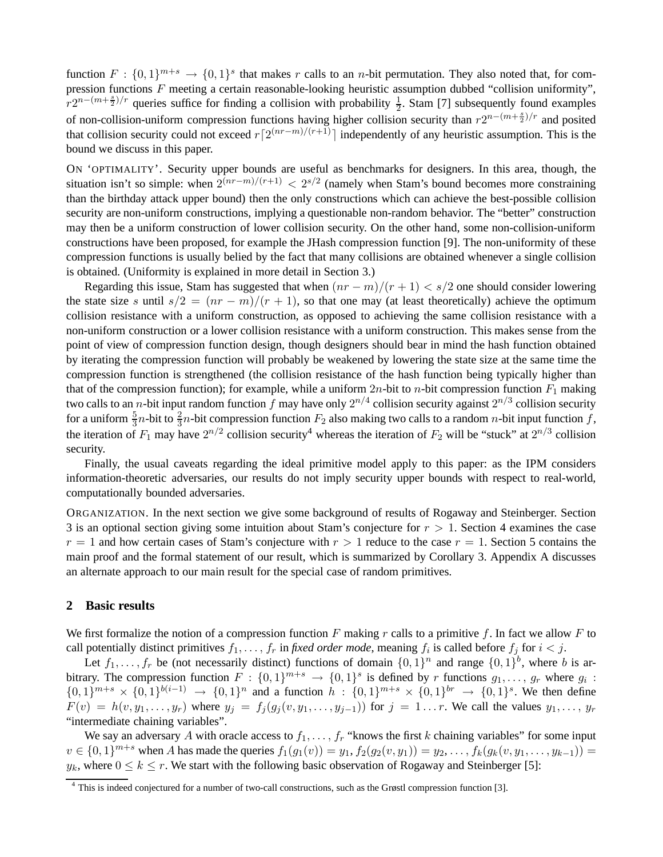function  $F: \{0,1\}^{m+s} \to \{0,1\}^s$  that makes r calls to an n-bit permutation. They also noted that, for compression functions F meeting a certain reasonable-looking heuristic assumption dubbed "collision uniformity",  $r2^{n-(m+\frac{s}{2})/r}$  queries suffice for finding a collision with probability  $\frac{1}{2}$ . Stam [7] subsequently found examples of non-collision-uniform compression functions having higher collision security than  $r2^{n-(m+\frac{s}{2})/r}$  and posited that collision security could not exceed  $r\lceil 2^{(nr-m)/(r+1)}\rceil$  independently of any heuristic assumption. This is the bound we discuss in this paper.

ON 'OPTIMALITY'. Security upper bounds are useful as benchmarks for designers. In this area, though, the situation isn't so simple: when  $2^{(nr-m)/(r+1)} < 2^{s/2}$  (namely when Stam's bound becomes more constraining than the birthday attack upper bound) then the only constructions which can achieve the best-possible collision security are non-uniform constructions, implying a questionable non-random behavior. The "better" construction may then be a uniform construction of lower collision security. On the other hand, some non-collision-uniform constructions have been proposed, for example the JHash compression function [9]. The non-uniformity of these compression functions is usually belied by the fact that many collisions are obtained whenever a single collision is obtained. (Uniformity is explained in more detail in Section 3.)

Regarding this issue, Stam has suggested that when  $\frac{nr - m}{r + 1} \leq s/2$  one should consider lowering the state size s until  $s/2 = (nr - m)/(r + 1)$ , so that one may (at least theoretically) achieve the optimum collision resistance with a uniform construction, as opposed to achieving the same collision resistance with a non-uniform construction or a lower collision resistance with a uniform construction. This makes sense from the point of view of compression function design, though designers should bear in mind the hash function obtained by iterating the compression function will probably be weakened by lowering the state size at the same time the compression function is strengthened (the collision resistance of the hash function being typically higher than that of the compression function); for example, while a uniform  $2n$ -bit to *n*-bit compression function  $F_1$  making two calls to an *n*-bit input random function  $f$  may have only  $2^{n/4}$  collision security against  $2^{n/3}$  collision security for a uniform  $\frac{5}{3}n$ -bit to  $\frac{2}{3}n$ -bit compression function  $F_2$  also making two calls to a random n-bit input function f, the iteration of  $F_1$  may have  $2^{n/2}$  collision security<sup>4</sup> whereas the iteration of  $F_2$  will be "stuck" at  $2^{n/3}$  collision security.

Finally, the usual caveats regarding the ideal primitive model apply to this paper: as the IPM considers information-theoretic adversaries, our results do not imply security upper bounds with respect to real-world, computationally bounded adversaries.

ORGANIZATION. In the next section we give some background of results of Rogaway and Steinberger. Section 3 is an optional section giving some intuition about Stam's conjecture for  $r > 1$ . Section 4 examines the case  $r = 1$  and how certain cases of Stam's conjecture with  $r > 1$  reduce to the case  $r = 1$ . Section 5 contains the main proof and the formal statement of our result, which is summarized by Corollary 3. Appendix A discusses an alternate approach to our main result for the special case of random primitives.

#### **2 Basic results**

We first formalize the notion of a compression function F making r calls to a primitive f. In fact we allow F to call potentially distinct primitives  $f_1, \ldots, f_r$  in *fixed order mode*, meaning  $f_i$  is called before  $f_j$  for  $i < j$ .

Let  $f_1, \ldots, f_r$  be (not necessarily distinct) functions of domain  $\{0, 1\}^n$  and range  $\{0, 1\}^b$ , where b is arbitrary. The compression function  $F: \{0,1\}^{m+s} \to \{0,1\}^s$  is defined by r functions  $g_1, \ldots, g_r$  where  $g_i$ :  $\{0,1\}^{m+s} \times \{0,1\}^{b(i-1)} \to \{0,1\}^n$  and a function  $h : \{0,1\}^{m+s} \times \{0,1\}^{br} \to \{0,1\}^s$ . We then define  $F(v) = h(v, y_1, \ldots, y_r)$  where  $y_j = f_j(g_j(v, y_1, \ldots, y_{j-1}))$  for  $j = 1 \ldots r$ . We call the values  $y_1, \ldots, y_r$ "intermediate chaining variables".

We say an adversary A with oracle access to  $f_1, \ldots, f_r$  "knows the first k chaining variables" for some input  $v \in \{0,1\}^{m+s}$  when A has made the queries  $f_1(g_1(v)) = y_1, f_2(g_2(v, y_1)) = y_2, \ldots, f_k(g_k(v, y_1, \ldots, y_{k-1})) =$  $y_k$ , where  $0 \le k \le r$ . We start with the following basic observation of Rogaway and Steinberger [5]:

 $\frac{4}{4}$  This is indeed conjectured for a number of two-call constructions, such as the Grøstl compression function [3].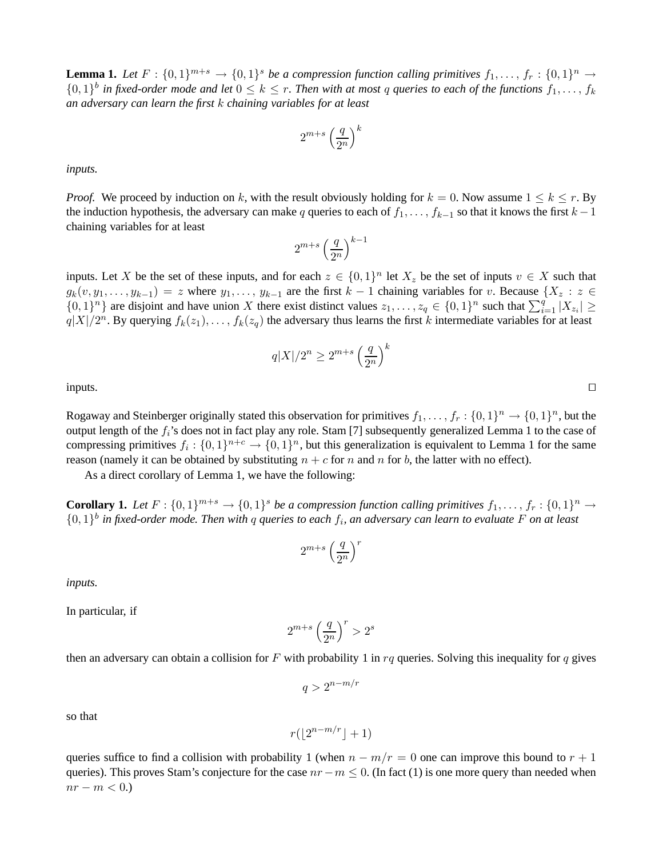**Lemma 1.** Let  $F: \{0,1\}^{m+s} \to \{0,1\}^s$  be a compression function calling primitives  $f_1, \ldots, f_r: \{0,1\}^n \to$  $\{0,1\}^b$  in fixed-order mode and let  $0 \leq k \leq r$ . Then with at most q queries to each of the functions  $f_1,\ldots,f_k$ *an adversary can learn the first* k *chaining variables for at least*

$$
2^{m+s} \left(\frac{q}{2^n}\right)^k
$$

*inputs.*

*Proof.* We proceed by induction on k, with the result obviously holding for  $k = 0$ . Now assume  $1 \le k \le r$ . By the induction hypothesis, the adversary can make q queries to each of  $f_1, \ldots, f_{k-1}$  so that it knows the first  $k-1$ chaining variables for at least

$$
2^{m+s}\left(\frac{q}{2^n}\right)^{k-1}
$$

inputs. Let X be the set of these inputs, and for each  $z \in \{0,1\}^n$  let  $X_z$  be the set of inputs  $v \in X$  such that  $g_k(v, y_1, \ldots, y_{k-1}) = z$  where  $y_1, \ldots, y_{k-1}$  are the first  $k-1$  chaining variables for v. Because  $\{X_z : z \in$  $\{0,1\}^n$  are disjoint and have union X there exist distinct values  $z_1,\ldots,z_q \in \{0,1\}^n$  such that  $\sum_{i=1}^q |X_{z_i}| \ge$  $q|X|/2^n$ . By querying  $f_k(z_1), \ldots, f_k(z_q)$  the adversary thus learns the first k intermediate variables for at least

$$
q|X|/2^n \ge 2^{m+s} \left(\frac{q}{2^n}\right)^k
$$

inputs. ⊓⊔

Rogaway and Steinberger originally stated this observation for primitives  $f_1, \ldots, f_r : \{0,1\}^n \to \{0,1\}^n$ , but the output length of the  $f_i$ 's does not in fact play any role. Stam [7] subsequently generalized Lemma 1 to the case of compressing primitives  $f_i: \{0,1\}^{n+c} \to \{0,1\}^n$ , but this generalization is equivalent to Lemma 1 for the same reason (namely it can be obtained by substituting  $n + c$  for n and n for b, the latter with no effect).

As a direct corollary of Lemma 1, we have the following:

**Corollary 1.** Let  $F: \{0,1\}^{m+s} \to \{0,1\}^s$  be a compression function calling primitives  $f_1, \ldots, f_r: \{0,1\}^n \to$  $\{0,1\}$ <sup>b</sup> in fixed-order mode. Then with q queries to each  $f_i$ , an adversary can learn to evaluate F on at least

$$
2^{m+s}\left(\frac{q}{2^n}\right)^r
$$

*inputs.*

In particular, if

$$
2^{m+s}\left(\frac{q}{2^n}\right)^r>2^s
$$

then an adversary can obtain a collision for F with probability 1 in rq queries. Solving this inequality for q gives

$$
q>2^{n-m/r}
$$

so that

$$
r(\lfloor 2^{n-m/r} \rfloor + 1)
$$

queries suffice to find a collision with probability 1 (when  $n - m/r = 0$  one can improve this bound to  $r + 1$ queries). This proves Stam's conjecture for the case  $nr-m \leq 0$ . (In fact (1) is one more query than needed when  $nr - m < 0.$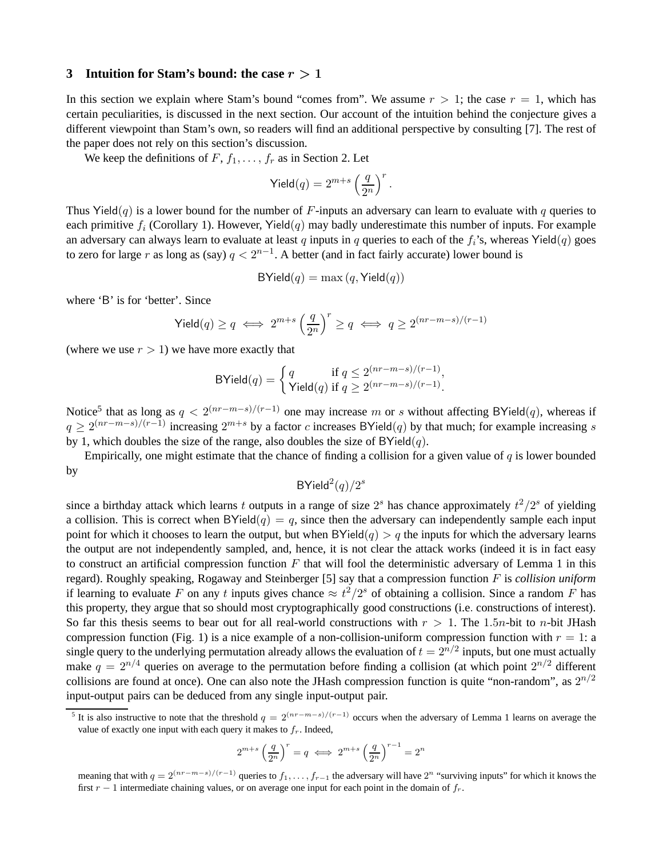#### **3** Intuition for Stam's bound: the case  $r > 1$

In this section we explain where Stam's bound "comes from". We assume  $r > 1$ ; the case  $r = 1$ , which has certain peculiarities, is discussed in the next section. Our account of the intuition behind the conjecture gives a different viewpoint than Stam's own, so readers will find an additional perspective by consulting [7]. The rest of the paper does not rely on this section's discussion.

We keep the definitions of  $F$ ,  $f_1$ , ...,  $f_r$  as in Section 2. Let

$$
\mathsf{Yield}(q) = 2^{m+s} \left(\frac{q}{2^n}\right)^r.
$$

Thus Yield(q) is a lower bound for the number of F-inputs an adversary can learn to evaluate with q queries to each primitive  $f_i$  (Corollary 1). However, Yield(q) may badly underestimate this number of inputs. For example an adversary can always learn to evaluate at least q inputs in q queries to each of the  $f_i$ 's, whereas Yield(q) goes to zero for large r as long as (say)  $q < 2^{n-1}$ . A better (and in fact fairly accurate) lower bound is

$$
BYield(q) = \max(q, Yield(q))
$$

where 'B' is for 'better'. Since

$$
\mathsf{Yield}(q) \ge q \iff 2^{m+s} \left(\frac{q}{2^n}\right)^r \ge q \iff q \ge 2^{(nr-m-s)/(r-1)}
$$

(where we use  $r > 1$ ) we have more exactly that

$$
\text{BYield}(q) = \begin{cases} q & \text{if } q \le 2^{(nr-m-s)/(r-1)}, \\ \text{Yield}(q) & \text{if } q \ge 2^{(nr-m-s)/(r-1)}. \end{cases}
$$

Notice<sup>5</sup> that as long as  $q < 2^{(nr-m-s)/(r-1)}$  one may increase m or s without affecting BYield $(q)$ , whereas if  $q \ge 2^{(nr-m-s)/(r-1)}$  increasing  $2^{m+s}$  by a factor c increases BYield(q) by that much; for example increasing s by 1, which doubles the size of the range, also doubles the size of  $BYield(q)$ .

Empirically, one might estimate that the chance of finding a collision for a given value of  $q$  is lower bounded by

 $BY$ ield $^2(q)/2^s$ 

since a birthday attack which learns t outputs in a range of size  $2^s$  has chance approximately  $t^2/2^s$  of yielding a collision. This is correct when BYield(q) = q, since then the adversary can independently sample each input point for which it chooses to learn the output, but when  $BYield(q) > q$  the inputs for which the adversary learns the output are not independently sampled, and, hence, it is not clear the attack works (indeed it is in fact easy to construct an artificial compression function  $F$  that will fool the deterministic adversary of Lemma 1 in this regard). Roughly speaking, Rogaway and Steinberger [5] say that a compression function F is *collision uniform* if learning to evaluate F on any t inputs gives chance  $\approx t^2/2^s$  of obtaining a collision. Since a random F has this property, they argue that so should most cryptographically good constructions (i.e. constructions of interest). So far this thesis seems to bear out for all real-world constructions with  $r > 1$ . The 1.5n-bit to n-bit JHash compression function (Fig. 1) is a nice example of a non-collision-uniform compression function with  $r = 1$ : a single query to the underlying permutation already allows the evaluation of  $t = 2^{n/2}$  inputs, but one must actually make  $q = 2^{n/4}$  queries on average to the permutation before finding a collision (at which point  $2^{n/2}$  different collisions are found at once). One can also note the JHash compression function is quite "non-random", as  $2^{n/2}$ input-output pairs can be deduced from any single input-output pair.

$$
2^{m+s}\left(\frac{q}{2^n}\right)^r=q\iff 2^{m+s}\left(\frac{q}{2^n}\right)^{r-1}=2^n
$$

<sup>&</sup>lt;sup>5</sup> It is also instructive to note that the threshold  $q = 2^{(nr-m-s)/(r-1)}$  occurs when the adversary of Lemma 1 learns on average the value of exactly one input with each query it makes to  $f<sub>r</sub>$ . Indeed,

meaning that with  $q = 2^{(nr-m-s)/(r-1)}$  queries to  $f_1, \ldots, f_{r-1}$  the adversary will have  $2^n$  "surviving inputs" for which it knows the first  $r - 1$  intermediate chaining values, or on average one input for each point in the domain of  $f_r$ .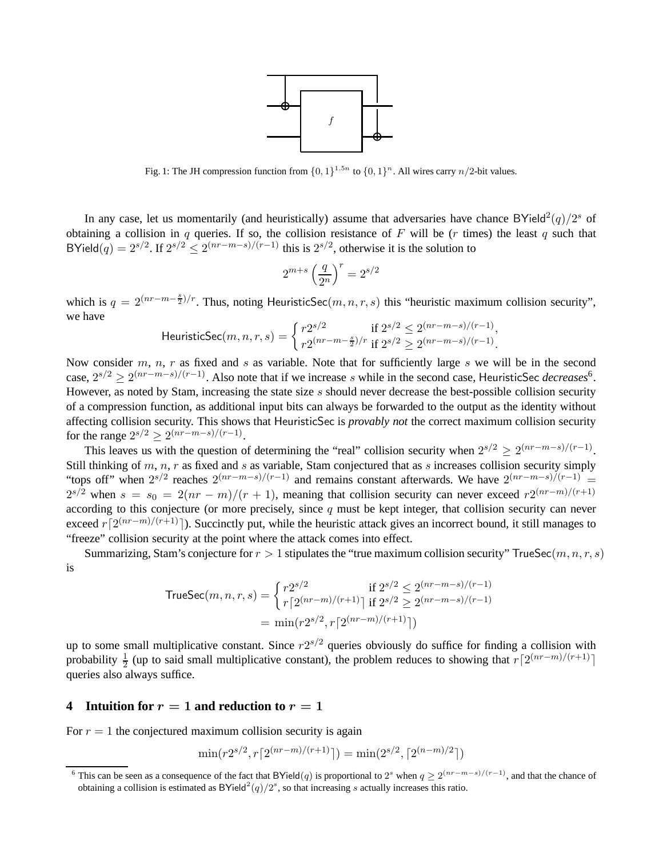

Fig. 1: The JH compression function from  $\{0, 1\}^{1.5n}$  to  $\{0, 1\}^n$ . All wires carry  $n/2$ -bit values.

In any case, let us momentarily (and heuristically) assume that adversaries have chance BYield<sup>2</sup> $(q)/2^s$  of obtaining a collision in q queries. If so, the collision resistance of F will be ( $r$  times) the least  $q$  such that BYield(q) =  $2^{s/2}$ . If  $2^{s/2} \le 2^{(nr-m-s)/(r-1)}$  this is  $2^{s/2}$ , otherwise it is the solution to

$$
2^{m+s} \left(\frac{q}{2^n}\right)^r = 2^{s/2}
$$

which is  $q = 2^{(nr-m-\frac{s}{2})/r}$ . Thus, noting HeuristicSec $(m, n, r, s)$  this "heuristic maximum collision security", we have

HeuristicSec
$$
(m, n, r, s)
$$
 = 
$$
\begin{cases} r2^{s/2} & \text{if } 2^{s/2} \le 2^{(nr-m-s)/(r-1)}, \\ r2^{(nr-m-\frac{s}{2})/r} & \text{if } 2^{s/2} \ge 2^{(nr-m-s)/(r-1)}. \end{cases}
$$

Now consider  $m$ ,  $n$ ,  $r$  as fixed and  $s$  as variable. Note that for sufficiently large  $s$  we will be in the second case,  $2^{s/2} \ge 2^{(nr-m-s)/(r-1)}$ . Also note that if we increase s while in the second case, HeuristicSec *decreases*<sup>6</sup>. However, as noted by Stam, increasing the state size  $s$  should never decrease the best-possible collision security of a compression function, as additional input bits can always be forwarded to the output as the identity without affecting collision security. This shows that HeuristicSec is *provably not* the correct maximum collision security for the range  $2^{s/2} \ge 2^{(nr-m-s)/(r-1)}$ .

This leaves us with the question of determining the "real" collision security when  $2^{s/2} \ge 2^{(nr-m-s)/(r-1)}$ . Still thinking of  $m, n, r$  as fixed and s as variable, Stam conjectured that as s increases collision security simply "tops off" when  $2^{s/2}$  reaches  $2^{(nr-m-s)/(r-1)}$  and remains constant afterwards. We have  $2^{(nr-m-s)/(r-1)}$  =  $2^{s/2}$  when  $s = s_0 = 2(nr-m)/(r+1)$ , meaning that collision security can never exceed  $r2^{(nr-m)/(r+1)}$ according to this conjecture (or more precisely, since  $q$  must be kept integer, that collision security can never exceed  $r\lceil 2^{(nr-m)/(r+1)}\rceil$ ). Succinctly put, while the heuristic attack gives an incorrect bound, it still manages to "freeze" collision security at the point where the attack comes into effect.

Summarizing, Stam's conjecture for  $r > 1$  stipulates the "true maximum collision security" TrueSec $(m, n, r, s)$ is

$$
\begin{aligned} \text{TrueSec}(m, n, r, s) &= \begin{cases} r2^{s/2} & \text{if } 2^{s/2} \le 2^{(nr - m - s)/(r - 1)} \\ r \lceil 2^{(nr - m)/(r + 1)} \rceil & \text{if } 2^{s/2} \ge 2^{(nr - m - s)/(r - 1)} \\ &= \min(r2^{s/2}, r \lceil 2^{(nr - m)/(r + 1)} \rceil) \end{cases} \end{aligned}
$$

up to some small multiplicative constant. Since  $r2^{s/2}$  queries obviously do suffice for finding a collision with probability  $\frac{1}{2}$  (up to said small multiplicative constant), the problem reduces to showing that  $r\lceil 2^{(nr-m)/(r+1)}\rceil$ queries also always suffice.

### **4** Intuition for  $r = 1$  and reduction to  $r = 1$

For  $r = 1$  the conjectured maximum collision security is again

$$
\min(r2^{s/2}, r\lceil 2^{(nr-m)/(r+1)}\rceil) = \min(2^{s/2}, \lceil 2^{(n-m)/2}\rceil)
$$

<sup>&</sup>lt;sup>6</sup> This can be seen as a consequence of the fact that BYield(q) is proportional to 2<sup>s</sup> when  $q \ge 2^{(nr-m-s)/(r-1)}$ , and that the chance of obtaining a collision is estimated as BYield<sup>2</sup> $(q)/2<sup>s</sup>$ , so that increasing s actually increases this ratio.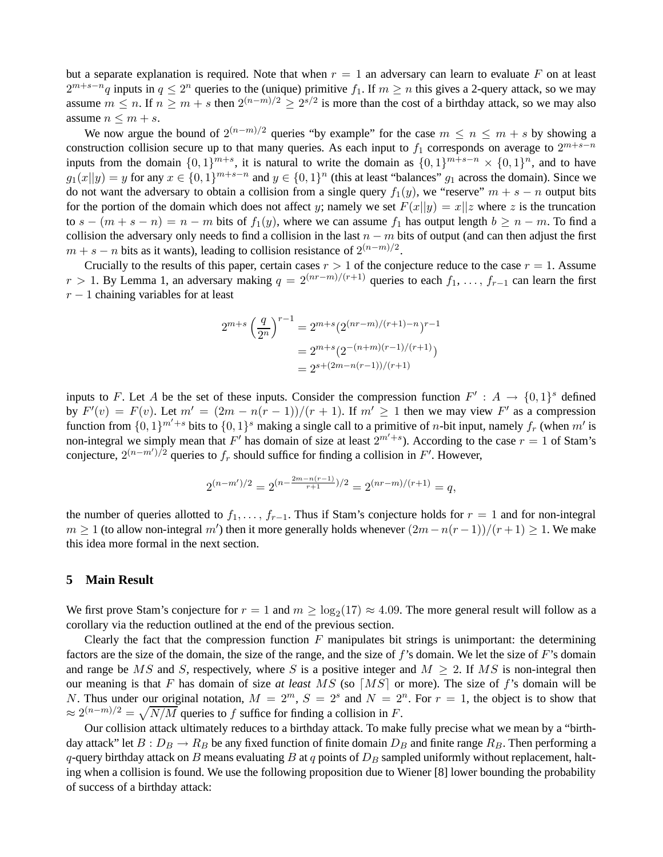but a separate explanation is required. Note that when  $r = 1$  an adversary can learn to evaluate F on at least  $2^{m+s-n}q$  inputs in  $q \leq 2^n$  queries to the (unique) primitive  $f_1$ . If  $m \geq n$  this gives a 2-query attack, so we may assume  $m \le n$ . If  $n \ge m + s$  then  $2^{(n-m)/2} \ge 2^{s/2}$  is more than the cost of a birthday attack, so we may also assume  $n \leq m + s$ .

We now argue the bound of  $2^{(n-m)/2}$  queries "by example" for the case  $m \leq n \leq m + s$  by showing a construction collision secure up to that many queries. As each input to  $f_1$  corresponds on average to  $2^{m+s-n}$ inputs from the domain  $\{0,1\}^{m+s}$ , it is natural to write the domain as  $\{0,1\}^{m+s-n} \times \{0,1\}^n$ , and to have  $g_1(x||y) = y$  for any  $x \in \{0,1\}^{m+s-n}$  and  $y \in \{0,1\}^n$  (this at least "balances"  $g_1$  across the domain). Since we do not want the adversary to obtain a collision from a single query  $f_1(y)$ , we "reserve"  $m + s - n$  output bits for the portion of the domain which does not affect y; namely we set  $F(x||y) = x||z$  where z is the truncation to  $s - (m + s - n) = n - m$  bits of  $f_1(y)$ , where we can assume  $f_1$  has output length  $b \ge n - m$ . To find a collision the adversary only needs to find a collision in the last  $n - m$  bits of output (and can then adjust the first  $m + s - n$  bits as it wants), leading to collision resistance of  $2^{(n-m)/2}$ .

Crucially to the results of this paper, certain cases  $r > 1$  of the conjecture reduce to the case  $r = 1$ . Assume  $r > 1$ . By Lemma 1, an adversary making  $q = 2^{(nr-m)/(r+1)}$  queries to each  $f_1, \ldots, f_{r-1}$  can learn the first  $r - 1$  chaining variables for at least

$$
2^{m+s} \left(\frac{q}{2^n}\right)^{r-1} = 2^{m+s} (2^{(nr-m)/(r+1)-n})^{r-1}
$$

$$
= 2^{m+s} (2^{-(n+m)(r-1)/(r+1)})
$$

$$
= 2^{s+(2m-n(r-1))/(r+1)}
$$

inputs to F. Let A be the set of these inputs. Consider the compression function  $F' : A \to \{0,1\}^s$  defined by  $F'(v) = F(v)$ . Let  $m' = (2m - n(r - 1))/(r + 1)$ . If  $m' \ge 1$  then we may view  $F'$  as a compression function from  $\{0,1\}^{m'+s}$  bits to  $\{0,1\}^s$  making a single call to a primitive of *n*-bit input, namely  $f_r$  (when  $m'$  is non-integral we simply mean that F' has domain of size at least  $2^{m'+s}$ ). According to the case  $r = 1$  of Stam's conjecture,  $2^{(n-m')/2}$  queries to  $f_r$  should suffice for finding a collision in F'. However,

$$
2^{(n-m')/2} = 2^{(n-\frac{2m-n(r-1)}{r+1})/2} = 2^{(nr-m)/(r+1)} = q,
$$

the number of queries allotted to  $f_1, \ldots, f_{r-1}$ . Thus if Stam's conjecture holds for  $r = 1$  and for non-integral  $m \ge 1$  (to allow non-integral m') then it more generally holds whenever  $(2m-n(r-1))/(r+1) \ge 1$ . We make this idea more formal in the next section.

#### **5 Main Result**

We first prove Stam's conjecture for  $r = 1$  and  $m \ge \log_2(17) \approx 4.09$ . The more general result will follow as a corollary via the reduction outlined at the end of the previous section.

Clearly the fact that the compression function  $F$  manipulates bit strings is unimportant: the determining factors are the size of the domain, the size of the range, and the size of  $f$ 's domain. We let the size of  $F$ 's domain and range be MS and S, respectively, where S is a positive integer and  $M \geq 2$ . If MS is non-integral then our meaning is that F has domain of size *at least* MS (so ⌈MS⌉ or more). The size of f's domain will be N. Thus under our original notation,  $M = 2^m$ ,  $S = 2^s$  and  $N = 2^n$ . For  $r = 1$ , the object is to show that  $\approx 2^{(n-m)/2} = \sqrt{N/M}$  queries to f suffice for finding a collision in F.

Our collision attack ultimately reduces to a birthday attack. To make fully precise what we mean by a "birthday attack" let  $B: D_B \to R_B$  be any fixed function of finite domain  $D_B$  and finite range  $R_B$ . Then performing a q-query birthday attack on B means evaluating B at q points of  $D_B$  sampled uniformly without replacement, halting when a collision is found. We use the following proposition due to Wiener [8] lower bounding the probability of success of a birthday attack: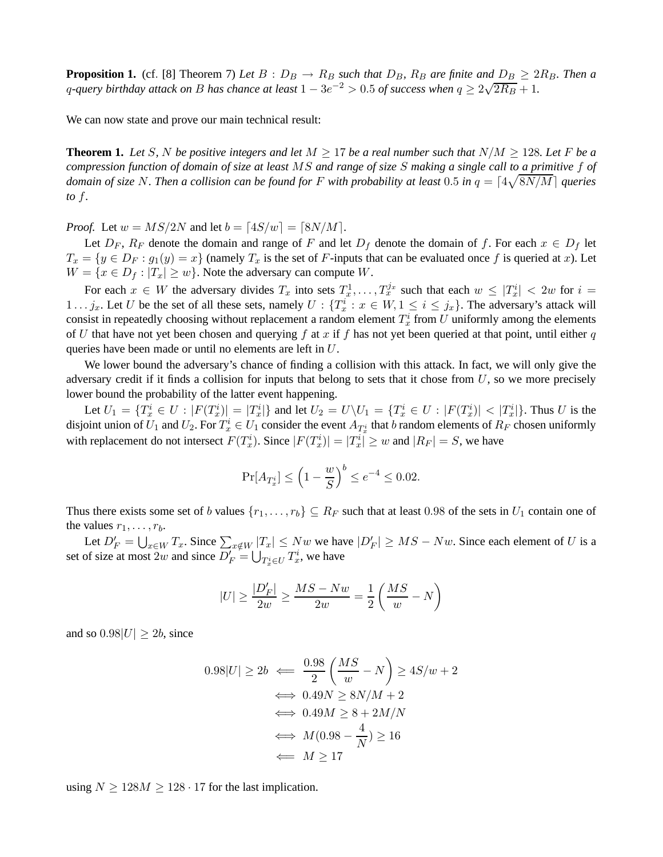**Proposition 1.** (cf. [8] Theorem 7) Let  $B: D_B \to R_B$  such that  $D_B$ ,  $R_B$  are finite and  $D_B \geq 2R_B$ . Then a q-query birthday attack on B has chance at least  $1 - 3e^{-2} > 0.5$  of success when  $q \ge 2\sqrt{2R_B} + 1$ .

We can now state and prove our main technical result:

**Theorem 1.** Let S, N be positive integers and let  $M \geq 17$  be a real number such that  $N/M \geq 128$ . Let F be a *compression function of domain of size at least* MS *and range of size* S *making a single call to a primitive* f *of* domain of size N. Then a collision can be found for F with probability at least  $0.5$  in  $q = \lceil 4\sqrt{8N/M} \rceil$  queries *to* f*.*

*Proof.* Let  $w = MS/2N$  and let  $b = \lfloor 4S/w \rfloor = \lfloor 8N/M \rfloor$ .

Let  $D_F$ ,  $R_F$  denote the domain and range of F and let  $D_f$  denote the domain of f. For each  $x \in D_f$  let  $T_x = \{y \in D_F : g_1(y) = x\}$  (namely  $T_x$  is the set of F-inputs that can be evaluated once f is queried at x). Let  $W = \{x \in D_f : |T_x| \ge w\}$ . Note the adversary can compute W.

For each  $x \in W$  the adversary divides  $T_x$  into sets  $T_x^1, \ldots, T_x^{j_x}$  such that each  $w \leq |T_x^i| < 2w$  for  $i =$ 1... j<sub>x</sub>. Let U be the set of all these sets, namely  $U: \{T_x^i : x \in W, 1 \le i \le j_x\}$ . The adversary's attack will consist in repeatedly choosing without replacement a random element  $T_x^i$  from  $U$  uniformly among the elements of U that have not yet been chosen and querying f at x if f has not yet been queried at that point, until either q queries have been made or until no elements are left in U.

We lower bound the adversary's chance of finding a collision with this attack. In fact, we will only give the adversary credit if it finds a collision for inputs that belong to sets that it chose from  $U$ , so we more precisely lower bound the probability of the latter event happening.

Let  $U_1 = \{T_x^i \in U : |F(T_x^i)| = |T_x^i|\}$  and let  $U_2 = U \setminus U_1 = \{T_x^i \in U : |F(T_x^i)| < |T_x^i|\}$ . Thus U is the disjoint union of  $U_1$  and  $U_2$ . For  $T_x^i \in U_1$  consider the event  $A_{T_x^i}$  that  $b$  random elements of  $R_F$  chosen uniformly with replacement do not intersect  $F(T_x^i)$ . Since  $|F(T_x^i)| = |T_x^i| \geq w$  and  $|R_F| = S$ , we have

$$
\Pr[A_{T_x^i}] \le \left(1 - \frac{w}{S}\right)^b \le e^{-4} \le 0.02.
$$

Thus there exists some set of b values  $\{r_1,\ldots,r_b\} \subseteq R_F$  such that at least 0.98 of the sets in  $U_1$  contain one of the values  $r_1, \ldots, r_b$ .

Let  $D'_F = \bigcup_{x \in W} T_x$ . Since  $\sum_{x \notin W} |T_x| \leq Nw$  we have  $|D'_F| \geq MS - Nw$ . Since each element of U is a set of size at most 2w and since  $D'_F = \bigcup_{T_x^i \in U} T_x^i$ , we have

$$
|U|\geq \frac{|D'_F|}{2w}\geq \frac{MS-Nw}{2w}=\frac{1}{2}\left(\frac{MS}{w}-N\right)
$$

and so  $0.98|U| \geq 2b$ , since

$$
0.98|U| \ge 2b \iff \frac{0.98}{2} \left(\frac{MS}{w} - N\right) \ge 4S/w + 2
$$

$$
\iff 0.49N \ge 8N/M + 2
$$

$$
\iff 0.49M \ge 8 + 2M/N
$$

$$
\iff M(0.98 - \frac{4}{N}) \ge 16
$$

$$
\iff M \ge 17
$$

using  $N \ge 128M \ge 128 \cdot 17$  for the last implication.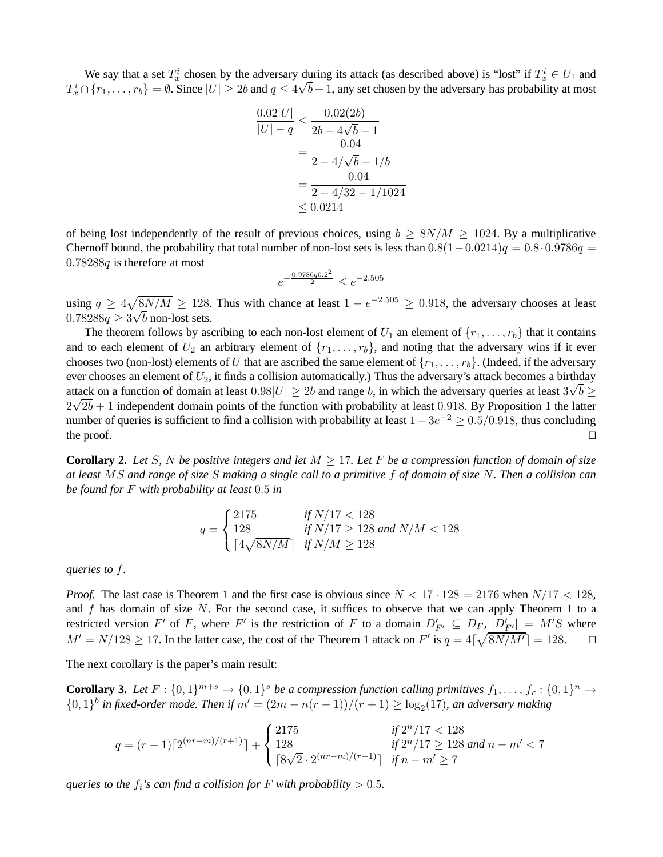We say that a set  $T_x^i$  chosen by the adversary during its attack (as described above) is "lost" if  $T_x^i \in U_1$  and  $T_x^i \cap \{r_1,\ldots,r_b\} = \emptyset$ . Since  $|U| \ge 2b$  and  $q \le 4\sqrt{b}+1$ , any set chosen by the adversary has probability at most

$$
\frac{0.02|U|}{|U|-q} \le \frac{0.02(2b)}{2b - 4\sqrt{b} - 1}
$$
  
= 
$$
\frac{0.04}{2 - 4/\sqrt{b} - 1/b}
$$
  
= 
$$
\frac{0.04}{2 - 4/32 - 1/1024}
$$
  

$$
\le 0.0214
$$

of being lost independently of the result of previous choices, using  $b \geq 8N/M \geq 1024$ . By a multiplicative Chernoff bound, the probability that total number of non-lost sets is less than  $0.8(1-0.0214)q = 0.8 \cdot 0.9786q =$  $0.78288q$  is therefore at most

$$
e^{-\frac{0.9786q0.2^2}{2}} \le e^{-2.505}
$$

using  $q \ge 4\sqrt{8N/M} \ge 128$ . Thus with chance at least  $1 - e^{-2.505} \ge 0.918$ , the adversary chooses at least  $\frac{1}{2}$   $\frac{1}{4}$   $\frac{1}{2}$   $\frac{1}{2}$   $\frac{1}{2}$   $\frac{1}{2}$   $\frac{1}{2}$  non-lost sets.

The theorem follows by ascribing to each non-lost element of  $U_1$  an element of  $\{r_1,\ldots,r_b\}$  that it contains and to each element of  $U_2$  an arbitrary element of  $\{r_1,\ldots,r_b\}$ , and noting that the adversary wins if it ever chooses two (non-lost) elements of U that are ascribed the same element of  $\{r_1,\ldots,r_b\}$ . (Indeed, if the adversary ever chooses an element of  $U_2$ , it finds a collision automatically.) Thus the adversary's attack becomes a birthday attack on a function of domain at least  $0.98|U| \ge 2b$  and range b, in which the adversary queries at least  $3\sqrt{b} \ge$  $2\sqrt{2b}+1$  independent domain points of the function with probability at least 0.918. By Proposition 1 the latter number of queries is sufficient to find a collision with probability at least  $1-3e^{-2} \ge 0.5/0.918$ , thus concluding the proof. □

**Corollary 2.** Let S, N be positive integers and let  $M \geq 17$ . Let F be a compression function of domain of size *at least* MS *and range of size* S *making a single call to a primitive* f *of domain of size* N*. Then a collision can be found for* F *with probability at least* 0.5 *in*

$$
q = \begin{cases} 2175 & \text{if } N/17 < 128 \\ 128 & \text{if } N/17 \ge 128 \text{ and } N/M < 128 \\ \lceil 4\sqrt{8N/M} \rceil & \text{if } N/M \ge 128 \end{cases}
$$

*queries to* f*.*

*Proof.* The last case is Theorem 1 and the first case is obvious since  $N < 17 \cdot 128 = 2176$  when  $N/17 < 128$ , and  $f$  has domain of size  $N$ . For the second case, it suffices to observe that we can apply Theorem 1 to a restricted version F' of F, where F' is the restriction of F to a domain  $D'_{F'} \subseteq D_F$ ,  $|D'_{F'}| = M'S$  where  $M' = N/128 \ge 17$ . In the latter case, the cost of the Theorem 1 attack on  $F'$  is  $q = 4\lceil \sqrt{8N/M'} \rceil = 128$ .  $\Box$ 

The next corollary is the paper's main result:

**Corollary 3.** Let  $F: \{0,1\}^{m+s} \to \{0,1\}^s$  be a compression function calling primitives  $f_1, \ldots, f_r: \{0,1\}^n \to$  $\{0,1\}^b$  in fixed-order mode. Then if  $m' = (2m - n(r - 1))/(r + 1) \ge \log_2(17)$ , an adversary making

$$
q = (r-1)\lceil 2^{(nr-m)/(r+1)} \rceil + \begin{cases} 2175 & \text{if } 2^n/17 < 128 \\ 128 & \text{if } 2^n/17 \ge 128 \text{ and } n-m' < 7 \\ \lceil 8\sqrt{2} \cdot 2^{(nr-m)/(r+1)} \rceil & \text{if } n-m' \ge 7 \end{cases}
$$

*queries to the*  $f_i$ 's can find a collision for F with probability  $> 0.5$ *.*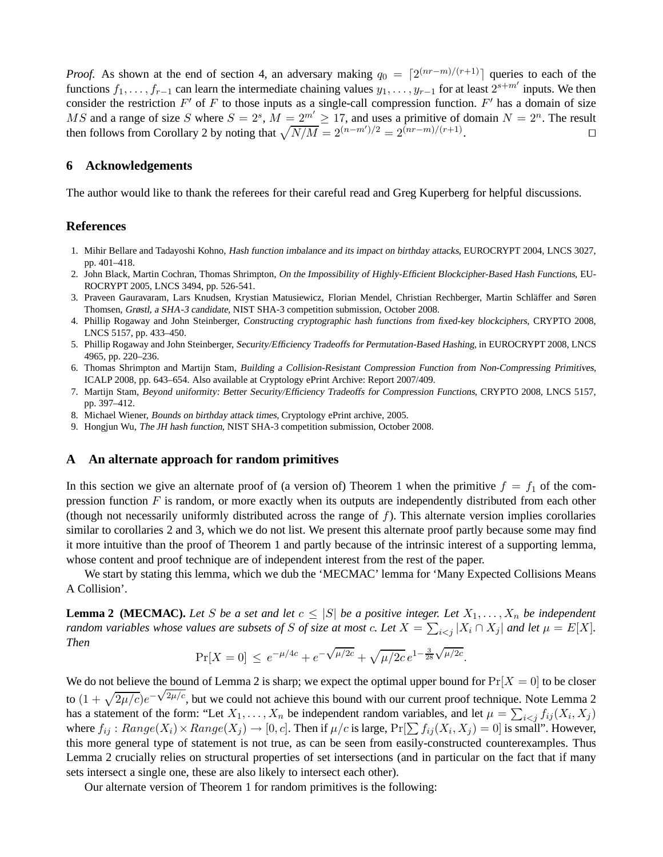*Proof.* As shown at the end of section 4, an adversary making  $q_0 = \left[2^{(nr-m)/(r+1)}\right]$  queries to each of the functions  $f_1,\ldots,f_{r-1}$  can learn the intermediate chaining values  $y_1,\ldots,y_{r-1}$  for at least  $2^{s+m'}$  inputs. We then consider the restriction  $F'$  of F to those inputs as a single-call compression function.  $F'$  has a domain of size MS and a range of size S where  $S = 2^s$ ,  $M = 2^{m'} \ge 17$ , and uses a primitive of domain  $N = 2^n$ . The result then follows from Corollary 2 by noting that  $\sqrt{N/M} = 2^{(n-m')/2} = 2^{(nr-m)/(r+1)}$ . ⊓⊔

# **6 Acknowledgements**

The author would like to thank the referees for their careful read and Greg Kuperberg for helpful discussions.

#### **References**

- 1. Mihir Bellare and Tadayoshi Kohno, Hash function imbalance and its impact on birthday attacks, EUROCRYPT 2004, LNCS 3027, pp. 401–418.
- 2. John Black, Martin Cochran, Thomas Shrimpton, On the Impossibility of Highly-Efficient Blockcipher-Based Hash Functions, EU-ROCRYPT 2005, LNCS 3494, pp. 526-541.
- 3. Praveen Gauravaram, Lars Knudsen, Krystian Matusiewicz, Florian Mendel, Christian Rechberger, Martin Schläffer and Søren Thomsen, Grøstl, <sup>a</sup> SHA-3 candidate, NIST SHA-3 competition submission, October 2008.
- 4. Phillip Rogaway and John Steinberger, Constructing cryptographic hash functions from fixed-key blockciphers, CRYPTO 2008, LNCS 5157, pp. 433–450.
- 5. Phillip Rogaway and John Steinberger, Security/Efficiency Tradeoffs for Permutation-Based Hashing, in EUROCRYPT 2008, LNCS 4965, pp. 220–236.
- 6. Thomas Shrimpton and Martijn Stam, Building <sup>a</sup> Collision-Resistant Compression Function from Non-Compressing Primitives, ICALP 2008, pp. 643–654. Also available at Cryptology ePrint Archive: Report 2007/409.
- 7. Martijn Stam, Beyond uniformity: Better Security/Efficiency Tradeoffs for Compression Functions, CRYPTO 2008, LNCS 5157, pp. 397–412.
- 8. Michael Wiener, Bounds on birthday attack times, Cryptology ePrint archive, 2005.
- 9. Hongjun Wu, The JH hash function, NIST SHA-3 competition submission, October 2008.

#### **A An alternate approach for random primitives**

In this section we give an alternate proof of (a version of) Theorem 1 when the primitive  $f = f_1$  of the compression function  $F$  is random, or more exactly when its outputs are independently distributed from each other (though not necessarily uniformly distributed across the range of  $f$ ). This alternate version implies corollaries similar to corollaries 2 and 3, which we do not list. We present this alternate proof partly because some may find it more intuitive than the proof of Theorem 1 and partly because of the intrinsic interest of a supporting lemma, whose content and proof technique are of independent interest from the rest of the paper.

We start by stating this lemma, which we dub the 'MECMAC' lemma for 'Many Expected Collisions Means A Collision'.

**Lemma 2 (MECMAC).** Let S be a set and let  $c \leq |S|$  be a positive integer. Let  $X_1, \ldots, X_n$  be independent *random variables whose values are subsets of* S *of size at most* c. Let  $X = \sum_{i < j} |X_i \cap X_j|$  and let  $\mu = E[X]$ . *Then*

$$
\Pr[X=0] \le e^{-\mu/4c} + e^{-\sqrt{\mu/2c}} + \sqrt{\mu/2c} \, e^{1 - \frac{3}{28}\sqrt{\mu/2c}}.
$$

We do not believe the bound of Lemma 2 is sharp; we expect the optimal upper bound for  $Pr[X = 0]$  to be closer to (1 +  $\sqrt{2\mu/c}e^{-\sqrt{2\mu/c}}$ , but we could not achieve this bound with our current proof technique. Note Lemma 2 has a statement of the form: "Let  $X_1, \ldots, X_n$  be independent random variables, and let  $\mu = \sum_{i \le j} f_{ij}(X_i, X_j)$ where  $f_{ij}: Range(X_i) \times Range(X_j) \to [0, c]$ . Then if  $\mu/c$  is large,  $Pr[\sum f_{ij}(X_i, X_j) = 0]$  is small". However, this more general type of statement is not true, as can be seen from easily-constructed counterexamples. Thus Lemma 2 crucially relies on structural properties of set intersections (and in particular on the fact that if many sets intersect a single one, these are also likely to intersect each other).

Our alternate version of Theorem 1 for random primitives is the following: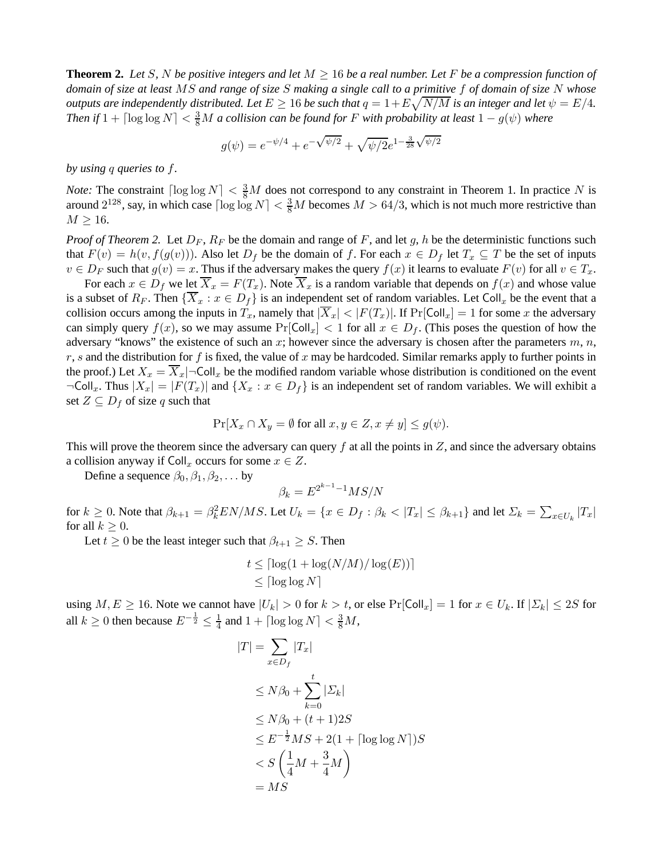**Theorem 2.** Let S, N be positive integers and let  $M \geq 16$  be a real number. Let F be a compression function of *domain of size at least* MS *and range of size* S *making a single call to a primitive* f *of domain of size* N *whose outputs are independently distributed. Let*  $E \geq 16$  *be such that*  $q = 1 + E\sqrt{N/M}$  *is an integer and let*  $\psi = E/4$ *.* Then if  $1 + \lceil \log \log N \rceil < \frac{3}{8}M$  a collision can be found for F with probability at least  $1 - g(\psi)$  where

$$
g(\psi) = e^{-\psi/4} + e^{-\sqrt{\psi/2}} + \sqrt{\psi/2}e^{1-\frac{3}{28}\sqrt{\psi/2}}
$$

*by using* q *queries to* f*.*

*Note:* The constraint  $\lceil \log \log N \rceil < \frac{3}{8}M$  does not correspond to any constraint in Theorem 1. In practice N is around  $2^{128}$ , say, in which case  $\lceil \log \log N \rceil < \frac{3}{8}M$  becomes  $M > 64/3$ , which is not much more restrictive than  $M \geq 16$ .

*Proof of Theorem 2.* Let  $D_F$ ,  $R_F$  be the domain and range of F, and let g, h be the deterministic functions such that  $F(v) = h(v, f(g(v)))$ . Also let  $D_f$  be the domain of f. For each  $x \in D_f$  let  $T_x \subseteq T$  be the set of inputs  $v \in D_F$  such that  $g(v) = x$ . Thus if the adversary makes the query  $f(x)$  it learns to evaluate  $F(v)$  for all  $v \in T_x$ .

For each  $x \in D_f$  we let  $\overline{X}_x = F(T_x)$ . Note  $\overline{X}_x$  is a random variable that depends on  $f(x)$  and whose value is a subset of  $R_F$ . Then  $\{\overline{X}_x : x \in D_f\}$  is an independent set of random variables. Let Coll<sub>x</sub> be the event that a collision occurs among the inputs in  $T_x$ , namely that  $|\overline{X}_x| < |F(T_x)|$ . If  $Pr[Col_x] = 1$  for some x the adversary can simply query  $f(x)$ , so we may assume  $Pr[Coll_x] < 1$  for all  $x \in D_f$ . (This poses the question of how the adversary "knows" the existence of such an x; however since the adversary is chosen after the parameters  $m, n$ ,  $r, s$  and the distribution for f is fixed, the value of x may be hardcoded. Similar remarks apply to further points in the proof.) Let  $X_x = \overline{X}_x$   $\neg$  Coll<sub>x</sub> be the modified random variable whose distribution is conditioned on the event  $\neg\text{Coll}_x$ . Thus  $|X_x| = |F(T_x)|$  and  $\{X_x : x \in D_f\}$  is an independent set of random variables. We will exhibit a set  $Z \subseteq D_f$  of size q such that

$$
\Pr[X_x \cap X_y = \emptyset \text{ for all } x, y \in Z, x \neq y] \le g(\psi).
$$

This will prove the theorem since the adversary can query  $f$  at all the points in  $Z$ , and since the adversary obtains a collision anyway if  $\text{Coll}_x$  occurs for some  $x \in Z$ .

Define a sequence  $\beta_0, \beta_1, \beta_2, \dots$  by

$$
\beta_k = E^{2^{k-1}-1}MS/N
$$

for  $k \ge 0$ . Note that  $\beta_{k+1} = \beta_k^2 EN/MS$ . Let  $U_k = \{x \in D_f : \beta_k < |T_x| \le \beta_{k+1}\}$  and let  $\Sigma_k = \sum_{x \in U_k} |T_x|$ for all  $k \geq 0$ .

Let  $t \geq 0$  be the least integer such that  $\beta_{t+1} \geq S$ . Then

$$
t \leq \lceil \log(1 + \log(N/M) / \log(E)) \rceil
$$
  

$$
\leq \lceil \log \log N \rceil
$$

using  $M, E \ge 16$ . Note we cannot have  $|U_k| > 0$  for  $k > t$ , or else  $\Pr[\text{Coll}_x] = 1$  for  $x \in U_k$ . If  $|\Sigma_k| \le 2S$  for all  $k \geq 0$  then because  $E^{-\frac{1}{2}} \leq \frac{1}{4}$  $\frac{1}{4}$  and  $1 + \lceil \log \log N \rceil < \frac{3}{8}M$ ,

$$
|T| = \sum_{x \in D_f} |T_x|
$$
  
\n
$$
\leq N\beta_0 + \sum_{k=0}^t |\Sigma_k|
$$
  
\n
$$
\leq N\beta_0 + (t+1)2S
$$
  
\n
$$
\leq E^{-\frac{1}{2}}MS + 2(1 + \lceil \log \log N \rceil)S
$$
  
\n
$$
< S\left(\frac{1}{4}M + \frac{3}{4}M\right)
$$
  
\n
$$
= MS
$$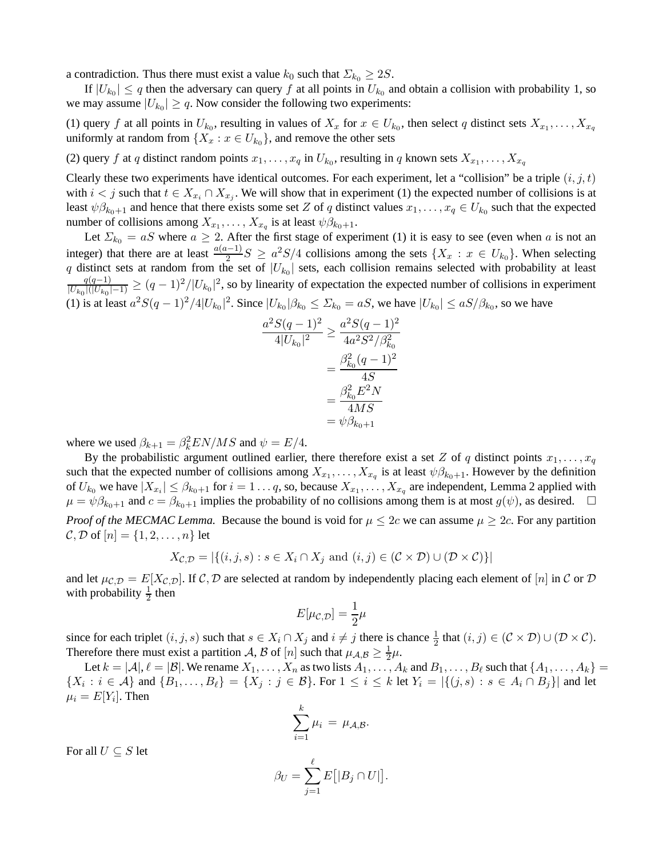a contradiction. Thus there must exist a value  $k_0$  such that  $\Sigma_{k_0} \geq 2S$ .

If  $|U_{k_0}| \leq q$  then the adversary can query f at all points in  $U_{k_0}$  and obtain a collision with probability 1, so we may assume  $|U_{k_0}| \geq q$ . Now consider the following two experiments:

(1) query f at all points in  $U_{k_0}$ , resulting in values of  $X_x$  for  $x \in U_{k_0}$ , then select q distinct sets  $X_{x_1}, \ldots, X_{x_q}$ uniformly at random from  $\{X_x : x \in U_{k_0}\}$ , and remove the other sets

(2) query f at q distinct random points  $x_1, \ldots, x_q$  in  $U_{k_0}$ , resulting in q known sets  $X_{x_1}, \ldots, X_{x_q}$ 

a

Clearly these two experiments have identical outcomes. For each experiment, let a "collision" be a triple  $(i, j, t)$ with  $i < j$  such that  $t \in X_{x_i} \cap X_{x_j}$ . We will show that in experiment (1) the expected number of collisions is at least  $\psi \beta_{k_0+1}$  and hence that there exists some set Z of q distinct values  $x_1, \dots, x_q \in U_{k_0}$  such that the expected number of collisions among  $X_{x_1}, \ldots, X_{x_q}$  is at least  $\psi \beta_{k_0+1}$ .

Let  $\Sigma_{k_0} = aS$  where  $a \geq 2$ . After the first stage of experiment (1) it is easy to see (even when a is not an integer) that there are at least  $\frac{a(a-1)}{2}S \ge a^2S/4$  collisions among the sets  $\{X_x : x \in U_{k_0}\}$ . When selecting q distinct sets at random from the set of  $|U_{k_0}|$  sets, each collision remains selected with probability at least  $q(q-1)$  $\frac{q(q-1)}{|U_{k_0}|(|U_{k_0}|-1)} \ge (q-1)^2/|U_{k_0}|^2$ , so by linearity of expectation the expected number of collisions in experiment (1) is at least  $a^2S(q-1)^2/4|U_{k_0}|^2$ . Since  $|U_{k_0}|\beta_{k_0}\leq \Sigma_{k_0}=aS$ , we have  $|U_{k_0}|\leq aS/\beta_{k_0}$ , so we have

$$
\frac{{}^{2}S(q-1)^{2}}{4|U_{k_{0}}|^{2}} \geq \frac{a^{2}S(q-1)^{2}}{4a^{2}S^{2}/\beta_{k_{0}}^{2}}
$$

$$
= \frac{\beta_{k_{0}}^{2}(q-1)^{2}}{4S}
$$

$$
= \frac{\beta_{k_{0}}^{2}E^{2}N}{4MS}
$$

$$
= \psi\beta_{k_{0}+1}
$$

where we used  $\beta_{k+1} = \beta_k^2 EN/MS$  and  $\psi = E/4$ .

By the probabilistic argument outlined earlier, there therefore exist a set Z of q distinct points  $x_1, \ldots, x_q$ such that the expected number of collisions among  $X_{x_1}, \ldots, X_{x_q}$  is at least  $\psi \beta_{k_0+1}$ . However by the definition of  $U_{k_0}$  we have  $|X_{x_i}| \leq \beta_{k_0+1}$  for  $i=1...q$ , so, because  $X_{x_1},...,X_{x_q}$  are independent, Lemma 2 applied with  $\mu = \psi \beta_{k_0+1}$  and  $c = \beta_{k_0+1}$  implies the probability of no collisions among them is at most  $g(\psi)$ , as desired. *Proof of the MECMAC Lemma.* Because the bound is void for  $\mu \leq 2c$  we can assume  $\mu \geq 2c$ . For any partition  $\mathcal{C}, \mathcal{D}$  of  $[n] = \{1, 2, \ldots, n\}$  let

$$
X_{\mathcal{C},\mathcal{D}} = |\{(i,j,s) : s \in X_i \cap X_j \text{ and } (i,j) \in (\mathcal{C} \times \mathcal{D}) \cup (\mathcal{D} \times \mathcal{C})\}|
$$

and let  $\mu_{\mathcal{C},\mathcal{D}} = E[X_{\mathcal{C},\mathcal{D}}]$ . If C, D are selected at random by independently placing each element of [n] in C or D with probability  $\frac{1}{2}$  then

$$
E[\mu_{\mathcal{C},\mathcal{D}}] = \frac{1}{2}\mu
$$

since for each triplet  $(i, j, s)$  such that  $s \in X_i \cap X_j$  and  $i \neq j$  there is chance  $\frac{1}{2}$  that  $(i, j) \in (\mathcal{C} \times \mathcal{D}) \cup (\mathcal{D} \times \mathcal{C})$ . Therefore there must exist a partition A, B of  $[n]$  such that  $\mu_{A,B} \ge \frac{1}{2}$  $rac{1}{2}\mu$ .

Let  $k = |A|, \ell = |B|$ . We rename  $X_1, \ldots, X_n$  as two lists  $A_1, \ldots, A_k$  and  $B_1, \ldots, B_\ell$  such that  $\{A_1, \ldots, A_k\}$  $\{X_i : i \in \mathcal{A}\}$  and  $\{B_1, \ldots, B_\ell\} = \{X_j : j \in \mathcal{B}\}$ . For  $1 \le i \le k$  let  $Y_i = |\{(j, s) : s \in A_i \cap B_j\}|$  and let  $\mu_i = E[Y_i]$ . Then

$$
\sum_{i=1}^k \mu_i = \mu_{\mathcal{A},\mathcal{B}}.
$$

For all  $U \subseteq S$  let

$$
\beta_U = \sum_{j=1}^{\ell} E\big[|B_j \cap U|\big].
$$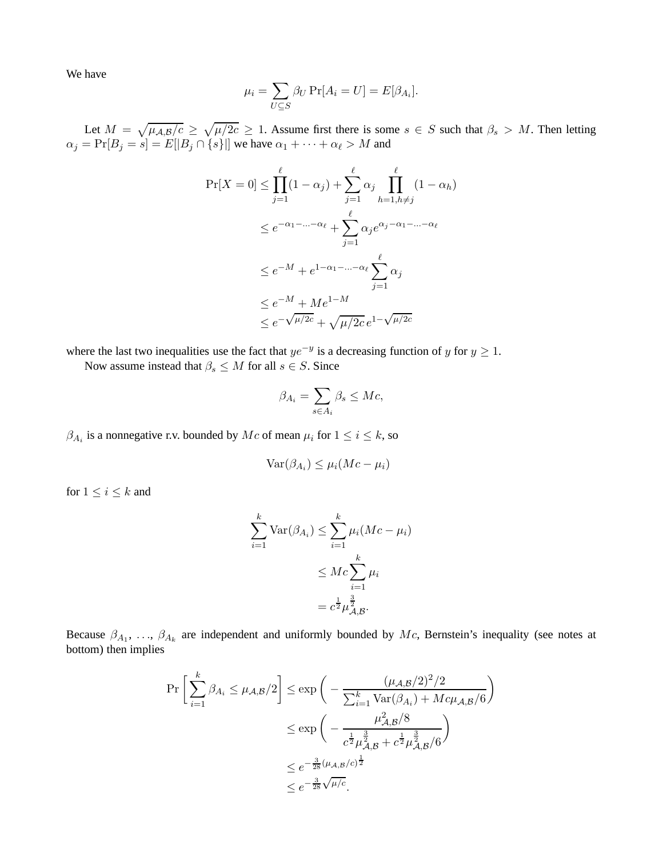We have

$$
\mu_i = \sum_{U \subseteq S} \beta_U \Pr[A_i = U] = E[\beta_{A_i}].
$$

Let  $M = \sqrt{\mu_{A,B}/c} \ge \sqrt{\mu/2c} \ge 1$ . Assume first there is some  $s \in S$  such that  $\beta_s > M$ . Then letting  $\alpha_j = \Pr[B_j = s] = E[|B_j \cap \{s\}|]$  we have  $\alpha_1 + \cdots + \alpha_\ell > M$  and

$$
\Pr[X = 0] \le \prod_{j=1}^{\ell} (1 - \alpha_j) + \sum_{j=1}^{\ell} \alpha_j \prod_{h=1, h \ne j}^{\ell} (1 - \alpha_h)
$$
  

$$
\le e^{-\alpha_1 - \dots - \alpha_{\ell}} + \sum_{j=1}^{\ell} \alpha_j e^{\alpha_j - \alpha_1 - \dots - \alpha_{\ell}}
$$
  

$$
\le e^{-M} + e^{1 - \alpha_1 - \dots - \alpha_{\ell}} \sum_{j=1}^{\ell} \alpha_j
$$
  

$$
\le e^{-M} + Me^{1-M}
$$
  

$$
\le e^{-\sqrt{\mu/2c}} + \sqrt{\mu/2c} e^{1 - \sqrt{\mu/2c}}
$$

where the last two inequalities use the fact that  $ye^{-y}$  is a decreasing function of y for  $y \ge 1$ .

Now assume instead that  $\beta_s \leq M$  for all  $s \in S$ . Since

$$
\beta_{A_i} = \sum_{s \in A_i} \beta_s \le Mc,
$$

 $\beta_{A_i}$  is a nonnegative r.v. bounded by  $Mc$  of mean  $\mu_i$  for  $1 \leq i \leq k$ , so

$$
Var(\beta_{A_i}) \le \mu_i(Mc - \mu_i)
$$

for  $1 \leq i \leq k$  and

$$
\sum_{i=1}^{k} \text{Var}(\beta_{A_i}) \le \sum_{i=1}^{k} \mu_i (Mc - \mu_i)
$$

$$
\le Mc \sum_{i=1}^{k} \mu_i
$$

$$
= c^{\frac{1}{2}} \mu_{A,B}^{\frac{3}{2}}.
$$

Because  $\beta_{A_1}, \ldots, \beta_{A_k}$  are independent and uniformly bounded by Mc, Bernstein's inequality (see notes at bottom) then implies

$$
\Pr\left[\sum_{i=1}^{k} \beta_{A_i} \le \mu_{A,B}/2\right] \le \exp\left(-\frac{(\mu_{A,B}/2)^2/2}{\sum_{i=1}^{k} \text{Var}(\beta_{A_i}) + Mc\mu_{A,B}/6}\right)
$$
  

$$
\le \exp\left(-\frac{\mu_{A,B}^2/8}{c^{\frac{1}{2}}\mu_{A,B}^{\frac{3}{2}} + c^{\frac{1}{2}}\mu_{A,B}^{\frac{3}{2}}/6}\right)
$$
  

$$
\le e^{-\frac{3}{28}(\mu_{A,B}/c)^{\frac{1}{2}}}
$$
  

$$
\le e^{-\frac{3}{28}\sqrt{\mu/c}}.
$$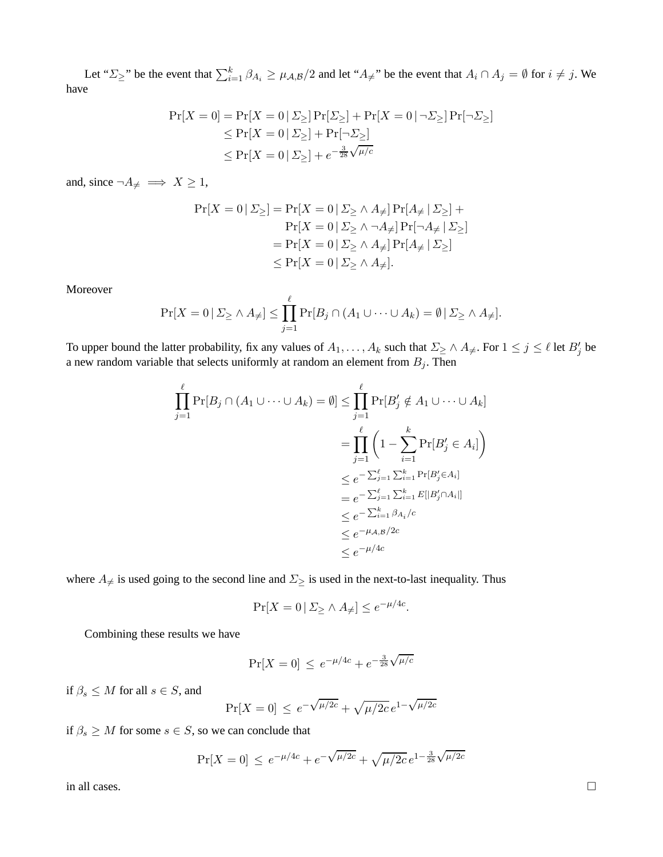Let " $\Sigma_{\geq}$ " be the event that  $\sum_{i=1}^{k} \beta_{A_i} \geq \mu_{A,B}/2$  and let " $A_{\neq}$ " be the event that  $A_i \cap A_j = \emptyset$  for  $i \neq j$ . We have

$$
\Pr[X=0] = \Pr[X=0 \mid \Sigma_{\ge}] \Pr[\Sigma_{\ge}] + \Pr[X=0 \mid \neg \Sigma_{\ge}] \Pr[\neg \Sigma_{\ge}]
$$
  
\n
$$
\le \Pr[X=0 \mid \Sigma_{\ge}] + \Pr[\neg \Sigma_{\ge}]
$$
  
\n
$$
\le \Pr[X=0 \mid \Sigma_{\ge}] + e^{-\frac{3}{28}\sqrt{\mu/c}}
$$

and, since  $\neg A_{\neq} \implies X \ge 1$ ,

$$
\Pr[X = 0 | \Sigma_{\ge}] = \Pr[X = 0 | \Sigma_{\ge} \land A_{\neq}] \Pr[A_{\neq} | \Sigma_{\ge}] +
$$
  
\n
$$
\Pr[X = 0 | \Sigma_{\ge} \land \neg A_{\neq}] \Pr[\neg A_{\neq} | \Sigma_{\ge}]
$$
  
\n
$$
= \Pr[X = 0 | \Sigma_{\ge} \land A_{\neq}] \Pr[A_{\neq} | \Sigma_{\ge}]
$$
  
\n
$$
\leq \Pr[X = 0 | \Sigma_{\ge} \land A_{\neq}].
$$

Moreover

$$
\Pr[X=0 \,|\, \Sigma_{\geq} \wedge A_{\neq}] \leq \prod_{j=1}^{\ell} \Pr[B_j \cap (A_1 \cup \dots \cup A_k) = \emptyset \,|\, \Sigma_{\geq} \wedge A_{\neq}].
$$

To upper bound the latter probability, fix any values of  $A_1, \ldots, A_k$  such that  $\Sigma \ge \wedge A_{\neq}$ . For  $1 \le j \le \ell$  let  $B'_j$  be a new random variable that selects uniformly at random an element from  $B_j$ . Then

$$
\prod_{j=1}^{\ell} \Pr[B_j \cap (A_1 \cup \dots \cup A_k) = \emptyset] \leq \prod_{j=1}^{\ell} \Pr[B'_j \notin A_1 \cup \dots \cup A_k]
$$
\n
$$
= \prod_{j=1}^{\ell} \left(1 - \sum_{i=1}^{k} \Pr[B'_j \in A_i]\right)
$$
\n
$$
\leq e^{-\sum_{j=1}^{\ell} \sum_{i=1}^{k} \Pr[B'_j \in A_i]}
$$
\n
$$
= e^{-\sum_{j=1}^{\ell} \sum_{i=1}^{k} E[|B'_j \cap A_i|]}
$$
\n
$$
\leq e^{-\sum_{i=1}^{k} \beta_{A_i}/c}
$$
\n
$$
\leq e^{-\mu_{A,B}/2c}
$$
\n
$$
\leq e^{-\mu_{A,C}}
$$

where  $A_{\neq}$  is used going to the second line and  $\Sigma_{\geq}$  is used in the next-to-last inequality. Thus

$$
\Pr[X = 0 \, | \, \Sigma_{\geq} \wedge A_{\neq}] \leq e^{-\mu/4c}.
$$

Combining these results we have

$$
\Pr[X = 0] \le e^{-\mu/4c} + e^{-\frac{3}{28}\sqrt{\mu/c}}
$$

if  $\beta_s \leq M$  for all  $s \in S$ , and

$$
\Pr[X = 0] \le e^{-\sqrt{\mu/2c}} + \sqrt{\mu/2c} \, e^{1 - \sqrt{\mu/2c}}
$$

if  $\beta_s \geq M$  for some  $s \in S$ , so we can conclude that

$$
\Pr[X=0] \le e^{-\mu/4c} + e^{-\sqrt{\mu/2c}} + \sqrt{\mu/2c} \, e^{1 - \frac{3}{28} \sqrt{\mu/2c}}
$$

in all cases.  $\Box$